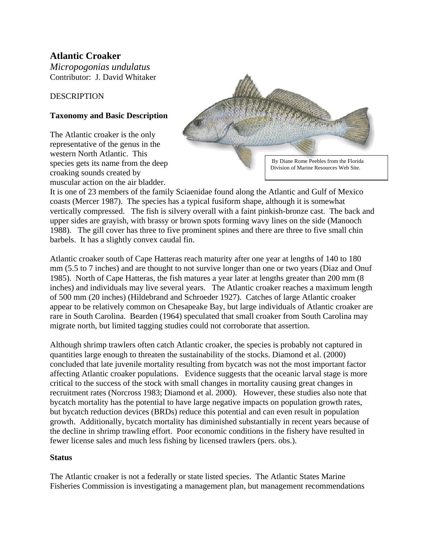# **Atlantic Croaker**

*Micropogonias undulatus*  Contributor: J. David Whitaker

# **DESCRIPTION**

# **Taxonomy and Basic Description**

The Atlantic croaker is the only representative of the genus in the western North Atlantic. This species gets its name from the deep croaking sounds created by muscular action on the air bladder.



It is one of 23 members of the family Sciaenidae found along the Atlantic and Gulf of Mexico coasts (Mercer 1987). The species has a typical fusiform shape, although it is somewhat vertically compressed. The fish is silvery overall with a faint pinkish-bronze cast. The back and upper sides are grayish, with brassy or brown spots forming wavy lines on the side (Manooch 1988). The gill cover has three to five prominent spines and there are three to five small chin barbels. It has a slightly convex caudal fin.

Atlantic croaker south of Cape Hatteras reach maturity after one year at lengths of 140 to 180 mm (5.5 to 7 inches) and are thought to not survive longer than one or two years (Diaz and Onuf 1985). North of Cape Hatteras, the fish matures a year later at lengths greater than 200 mm (8 inches) and individuals may live several years. The Atlantic croaker reaches a maximum length of 500 mm (20 inches) (Hildebrand and Schroeder 1927). Catches of large Atlantic croaker appear to be relatively common on Chesapeake Bay, but large individuals of Atlantic croaker are rare in South Carolina. Bearden (1964) speculated that small croaker from South Carolina may migrate north, but limited tagging studies could not corroborate that assertion.

Although shrimp trawlers often catch Atlantic croaker, the species is probably not captured in quantities large enough to threaten the sustainability of the stocks. Diamond et al. (2000) concluded that late juvenile mortality resulting from bycatch was not the most important factor affecting Atlantic croaker populations. Evidence suggests that the oceanic larval stage is more critical to the success of the stock with small changes in mortality causing great changes in recruitment rates (Norcross 1983; Diamond et al. 2000). However, these studies also note that bycatch mortality has the potential to have large negative impacts on population growth rates, but bycatch reduction devices (BRDs) reduce this potential and can even result in population growth. Additionally, bycatch mortality has diminished substantially in recent years because of the decline in shrimp trawling effort. Poor economic conditions in the fishery have resulted in fewer license sales and much less fishing by licensed trawlers (pers. obs.).

# **Status**

The Atlantic croaker is not a federally or state listed species. The Atlantic States Marine Fisheries Commission is investigating a management plan, but management recommendations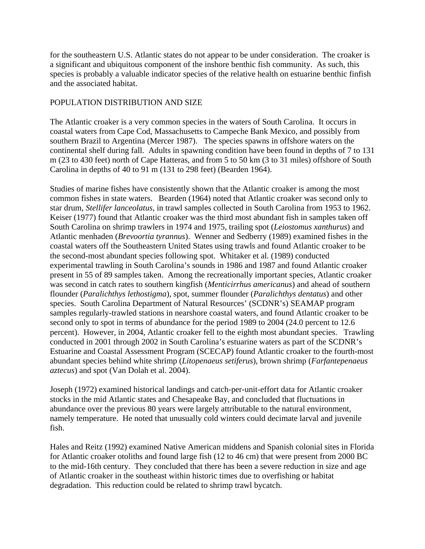for the southeastern U.S. Atlantic states do not appear to be under consideration. The croaker is a significant and ubiquitous component of the inshore benthic fish community. As such, this species is probably a valuable indicator species of the relative health on estuarine benthic finfish and the associated habitat.

### POPULATION DISTRIBUTION AND SIZE

The Atlantic croaker is a very common species in the waters of South Carolina. It occurs in coastal waters from Cape Cod, Massachusetts to Campeche Bank Mexico, and possibly from southern Brazil to Argentina (Mercer 1987). The species spawns in offshore waters on the continental shelf during fall. Adults in spawning condition have been found in depths of 7 to 131 m (23 to 430 feet) north of Cape Hatteras, and from 5 to 50 km (3 to 31 miles) offshore of South Carolina in depths of 40 to 91 m (131 to 298 feet) (Bearden 1964).

Studies of marine fishes have consistently shown that the Atlantic croaker is among the most common fishes in state waters. Bearden (1964) noted that Atlantic croaker was second only to star drum, *Stellifer lanceolatus*, in trawl samples collected in South Carolina from 1953 to 1962. Keiser (1977) found that Atlantic croaker was the third most abundant fish in samples taken off South Carolina on shrimp trawlers in 1974 and 1975, trailing spot (*Leiostomus xanthurus*) and Atlantic menhaden (*Brevoortia tyrannus*). Wenner and Sedberry (1989) examined fishes in the coastal waters off the Southeastern United States using trawls and found Atlantic croaker to be the second-most abundant species following spot. Whitaker et al*.* (1989) conducted experimental trawling in South Carolina's sounds in 1986 and 1987 and found Atlantic croaker present in 55 of 89 samples taken. Among the recreationally important species, Atlantic croaker was second in catch rates to southern kingfish (*Menticirrhus americanus*) and ahead of southern flounder (*Paralichthys lethostigma*), spot, summer flounder (*Paralichthys dentatus*) and other species. South Carolina Department of Natural Resources' (SCDNR's) SEAMAP program samples regularly-trawled stations in nearshore coastal waters, and found Atlantic croaker to be second only to spot in terms of abundance for the period 1989 to 2004 (24.0 percent to 12.6 percent). However, in 2004, Atlantic croaker fell to the eighth most abundant species. Trawling conducted in 2001 through 2002 in South Carolina's estuarine waters as part of the SCDNR's Estuarine and Coastal Assessment Program (SCECAP) found Atlantic croaker to the fourth-most abundant species behind white shrimp (*Litopenaeus setiferus*), brown shrimp (*Farfantepenaeus aztecus*) and spot (Van Dolah et al. 2004).

Joseph (1972) examined historical landings and catch-per-unit-effort data for Atlantic croaker stocks in the mid Atlantic states and Chesapeake Bay, and concluded that fluctuations in abundance over the previous 80 years were largely attributable to the natural environment, namely temperature. He noted that unusually cold winters could decimate larval and juvenile fish.

Hales and Reitz (1992) examined Native American middens and Spanish colonial sites in Florida for Atlantic croaker otoliths and found large fish (12 to 46 cm) that were present from 2000 BC to the mid-16th century. They concluded that there has been a severe reduction in size and age of Atlantic croaker in the southeast within historic times due to overfishing or habitat degradation. This reduction could be related to shrimp trawl bycatch.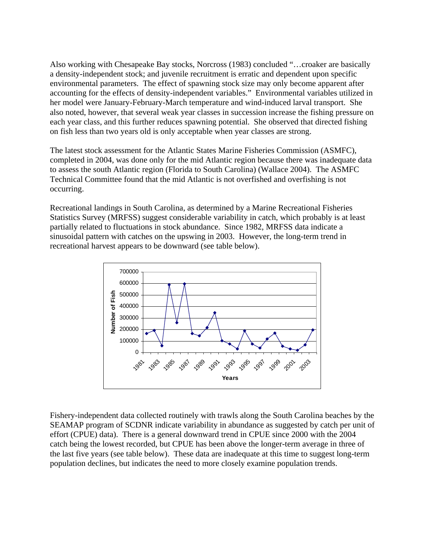Also working with Chesapeake Bay stocks, Norcross (1983) concluded "…croaker are basically a density-independent stock; and juvenile recruitment is erratic and dependent upon specific environmental parameters. The effect of spawning stock size may only become apparent after accounting for the effects of density-independent variables." Environmental variables utilized in her model were January-February-March temperature and wind-induced larval transport. She also noted, however, that several weak year classes in succession increase the fishing pressure on each year class, and this further reduces spawning potential. She observed that directed fishing on fish less than two years old is only acceptable when year classes are strong.

The latest stock assessment for the Atlantic States Marine Fisheries Commission (ASMFC), completed in 2004, was done only for the mid Atlantic region because there was inadequate data to assess the south Atlantic region (Florida to South Carolina) (Wallace 2004). The ASMFC Technical Committee found that the mid Atlantic is not overfished and overfishing is not occurring.

Recreational landings in South Carolina, as determined by a Marine Recreational Fisheries Statistics Survey (MRFSS) suggest considerable variability in catch, which probably is at least partially related to fluctuations in stock abundance. Since 1982, MRFSS data indicate a sinusoidal pattern with catches on the upswing in 2003. However, the long-term trend in recreational harvest appears to be downward (see table below).



Fishery-independent data collected routinely with trawls along the South Carolina beaches by the SEAMAP program of SCDNR indicate variability in abundance as suggested by catch per unit of effort (CPUE) data). There is a general downward trend in CPUE since 2000 with the 2004 catch being the lowest recorded, but CPUE has been above the longer-term average in three of the last five years (see table below). These data are inadequate at this time to suggest long-term population declines, but indicates the need to more closely examine population trends.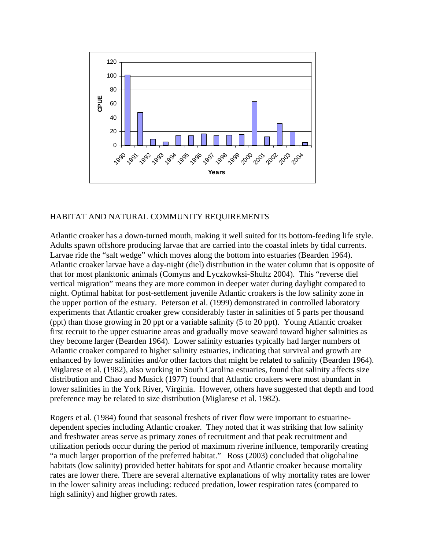

## HABITAT AND NATURAL COMMUNITY REQUIREMENTS

Atlantic croaker has a down-turned mouth, making it well suited for its bottom-feeding life style. Adults spawn offshore producing larvae that are carried into the coastal inlets by tidal currents. Larvae ride the "salt wedge" which moves along the bottom into estuaries (Bearden 1964). Atlantic croaker larvae have a day-night (diel) distribution in the water column that is opposite of that for most planktonic animals (Comyns and Lyczkowksi-Shultz 2004). This "reverse diel vertical migration" means they are more common in deeper water during daylight compared to night. Optimal habitat for post-settlement juvenile Atlantic croakers is the low salinity zone in the upper portion of the estuary. Peterson et al. (1999) demonstrated in controlled laboratory experiments that Atlantic croaker grew considerably faster in salinities of 5 parts per thousand (ppt) than those growing in 20 ppt or a variable salinity (5 to 20 ppt). Young Atlantic croaker first recruit to the upper estuarine areas and gradually move seaward toward higher salinities as they become larger (Bearden 1964). Lower salinity estuaries typically had larger numbers of Atlantic croaker compared to higher salinity estuaries, indicating that survival and growth are enhanced by lower salinities and/or other factors that might be related to salinity (Bearden 1964). Miglarese et al. (1982), also working in South Carolina estuaries, found that salinity affects size distribution and Chao and Musick (1977) found that Atlantic croakers were most abundant in lower salinities in the York River, Virginia. However, others have suggested that depth and food preference may be related to size distribution (Miglarese et al. 1982).

Rogers et al. (1984) found that seasonal freshets of river flow were important to estuarinedependent species including Atlantic croaker. They noted that it was striking that low salinity and freshwater areas serve as primary zones of recruitment and that peak recruitment and utilization periods occur during the period of maximum riverine influence, temporarily creating "a much larger proportion of the preferred habitat." Ross (2003) concluded that oligohaline habitats (low salinity) provided better habitats for spot and Atlantic croaker because mortality rates are lower there. There are several alternative explanations of why mortality rates are lower in the lower salinity areas including: reduced predation, lower respiration rates (compared to high salinity) and higher growth rates.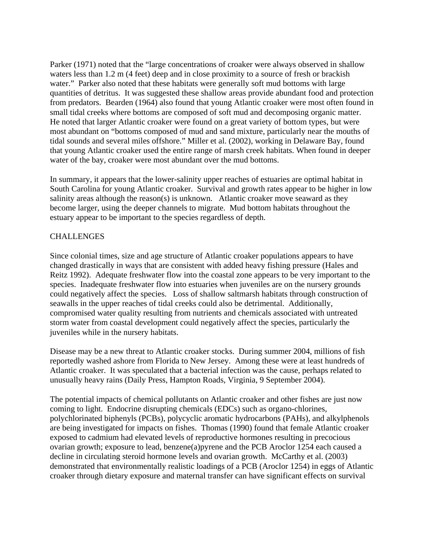Parker (1971) noted that the "large concentrations of croaker were always observed in shallow waters less than 1.2 m (4 feet) deep and in close proximity to a source of fresh or brackish water." Parker also noted that these habitats were generally soft mud bottoms with large quantities of detritus. It was suggested these shallow areas provide abundant food and protection from predators. Bearden (1964) also found that young Atlantic croaker were most often found in small tidal creeks where bottoms are composed of soft mud and decomposing organic matter. He noted that larger Atlantic croaker were found on a great variety of bottom types, but were most abundant on "bottoms composed of mud and sand mixture, particularly near the mouths of tidal sounds and several miles offshore." Miller et al. (2002), working in Delaware Bay, found that young Atlantic croaker used the entire range of marsh creek habitats. When found in deeper water of the bay, croaker were most abundant over the mud bottoms.

In summary, it appears that the lower-salinity upper reaches of estuaries are optimal habitat in South Carolina for young Atlantic croaker. Survival and growth rates appear to be higher in low salinity areas although the reason(s) is unknown. Atlantic croaker move seaward as they become larger, using the deeper channels to migrate. Mud bottom habitats throughout the estuary appear to be important to the species regardless of depth.

## **CHALLENGES**

Since colonial times, size and age structure of Atlantic croaker populations appears to have changed drastically in ways that are consistent with added heavy fishing pressure (Hales and Reitz 1992). Adequate freshwater flow into the coastal zone appears to be very important to the species. Inadequate freshwater flow into estuaries when juveniles are on the nursery grounds could negatively affect the species. Loss of shallow saltmarsh habitats through construction of seawalls in the upper reaches of tidal creeks could also be detrimental. Additionally, compromised water quality resulting from nutrients and chemicals associated with untreated storm water from coastal development could negatively affect the species, particularly the juveniles while in the nursery habitats.

Disease may be a new threat to Atlantic croaker stocks. During summer 2004, millions of fish reportedly washed ashore from Florida to New Jersey. Among these were at least hundreds of Atlantic croaker. It was speculated that a bacterial infection was the cause, perhaps related to unusually heavy rains (Daily Press, Hampton Roads, Virginia, 9 September 2004).

The potential impacts of chemical pollutants on Atlantic croaker and other fishes are just now coming to light. Endocrine disrupting chemicals (EDCs) such as organo-chlorines, polychlorinated biphenyls (PCBs), polycyclic aromatic hydrocarbons (PAHs), and alkylphenols are being investigated for impacts on fishes. Thomas (1990) found that female Atlantic croaker exposed to cadmium had elevated levels of reproductive hormones resulting in precocious ovarian growth; exposure to lead, benzene(a)pyrene and the PCB Aroclor 1254 each caused a decline in circulating steroid hormone levels and ovarian growth. McCarthy et al. (2003) demonstrated that environmentally realistic loadings of a PCB (Aroclor 1254) in eggs of Atlantic croaker through dietary exposure and maternal transfer can have significant effects on survival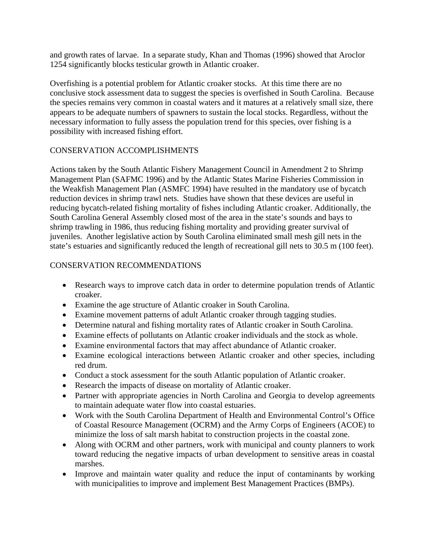and growth rates of larvae. In a separate study, Khan and Thomas (1996) showed that Aroclor 1254 significantly blocks testicular growth in Atlantic croaker.

Overfishing is a potential problem for Atlantic croaker stocks. At this time there are no conclusive stock assessment data to suggest the species is overfished in South Carolina. Because the species remains very common in coastal waters and it matures at a relatively small size, there appears to be adequate numbers of spawners to sustain the local stocks. Regardless, without the necessary information to fully assess the population trend for this species, over fishing is a possibility with increased fishing effort.

# CONSERVATION ACCOMPLISHMENTS

Actions taken by the South Atlantic Fishery Management Council in Amendment 2 to Shrimp Management Plan (SAFMC 1996) and by the Atlantic States Marine Fisheries Commission in the Weakfish Management Plan (ASMFC 1994) have resulted in the mandatory use of bycatch reduction devices in shrimp trawl nets. Studies have shown that these devices are useful in reducing bycatch-related fishing mortality of fishes including Atlantic croaker. Additionally, the South Carolina General Assembly closed most of the area in the state's sounds and bays to shrimp trawling in 1986, thus reducing fishing mortality and providing greater survival of juveniles. Another legislative action by South Carolina eliminated small mesh gill nets in the state's estuaries and significantly reduced the length of recreational gill nets to 30.5 m (100 feet).

# CONSERVATION RECOMMENDATIONS

- Research ways to improve catch data in order to determine population trends of Atlantic croaker.
- Examine the age structure of Atlantic croaker in South Carolina.
- Examine movement patterns of adult Atlantic croaker through tagging studies.
- Determine natural and fishing mortality rates of Atlantic croaker in South Carolina.
- Examine effects of pollutants on Atlantic croaker individuals and the stock as whole.
- Examine environmental factors that may affect abundance of Atlantic croaker.
- Examine ecological interactions between Atlantic croaker and other species, including red drum.
- Conduct a stock assessment for the south Atlantic population of Atlantic croaker.
- Research the impacts of disease on mortality of Atlantic croaker.
- Partner with appropriate agencies in North Carolina and Georgia to develop agreements to maintain adequate water flow into coastal estuaries.
- Work with the South Carolina Department of Health and Environmental Control's Office of Coastal Resource Management (OCRM) and the Army Corps of Engineers (ACOE) to minimize the loss of salt marsh habitat to construction projects in the coastal zone.
- Along with OCRM and other partners, work with municipal and county planners to work toward reducing the negative impacts of urban development to sensitive areas in coastal marshes.
- Improve and maintain water quality and reduce the input of contaminants by working with municipalities to improve and implement Best Management Practices (BMPs).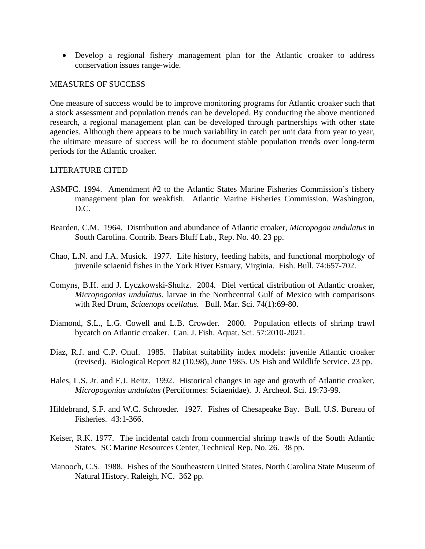• Develop a regional fishery management plan for the Atlantic croaker to address conservation issues range-wide.

#### MEASURES OF SUCCESS

One measure of success would be to improve monitoring programs for Atlantic croaker such that a stock assessment and population trends can be developed. By conducting the above mentioned research, a regional management plan can be developed through partnerships with other state agencies. Although there appears to be much variability in catch per unit data from year to year, the ultimate measure of success will be to document stable population trends over long-term periods for the Atlantic croaker.

#### LITERATURE CITED

- ASMFC. 1994. Amendment #2 to the Atlantic States Marine Fisheries Commission's fishery management plan for weakfish. Atlantic Marine Fisheries Commission. Washington, D.C.
- Bearden, C.M. 1964. Distribution and abundance of Atlantic croaker, *Micropogon undulatus* in South Carolina. Contrib. Bears Bluff Lab., Rep. No. 40. 23 pp.
- Chao, L.N. and J.A. Musick. 1977. Life history, feeding habits, and functional morphology of juvenile sciaenid fishes in the York River Estuary, Virginia. Fish. Bull. 74:657-702.
- Comyns, B.H. and J. Lyczkowski-Shultz. 2004. Diel vertical distribution of Atlantic croaker, *Micropogonias undulatus*, larvae in the Northcentral Gulf of Mexico with comparisons with Red Drum, *Sciaenops ocellatus.* Bull. Mar. Sci. 74(1):69-80.
- Diamond, S.L., L.G. Cowell and L.B. Crowder. 2000. Population effects of shrimp trawl bycatch on Atlantic croaker. Can. J. Fish. Aquat. Sci. 57:2010-2021.
- Diaz, R.J. and C.P. Onuf. 1985. Habitat suitability index models: juvenile Atlantic croaker (revised). Biological Report 82 (10.98), June 1985. US Fish and Wildlife Service. 23 pp.
- Hales, L.S. Jr. and E.J. Reitz. 1992. Historical changes in age and growth of Atlantic croaker, *Micropogonias undulatus* (Perciformes: Sciaenidae). J. Archeol. Sci. 19:73-99.
- Hildebrand, S.F. and W.C. Schroeder. 1927. Fishes of Chesapeake Bay. Bull. U.S. Bureau of Fisheries. 43:1-366.
- Keiser, R.K. 1977. The incidental catch from commercial shrimp trawls of the South Atlantic States. SC Marine Resources Center, Technical Rep. No. 26. 38 pp.
- Manooch, C.S. 1988. Fishes of the Southeastern United States. North Carolina State Museum of Natural History. Raleigh, NC. 362 pp.